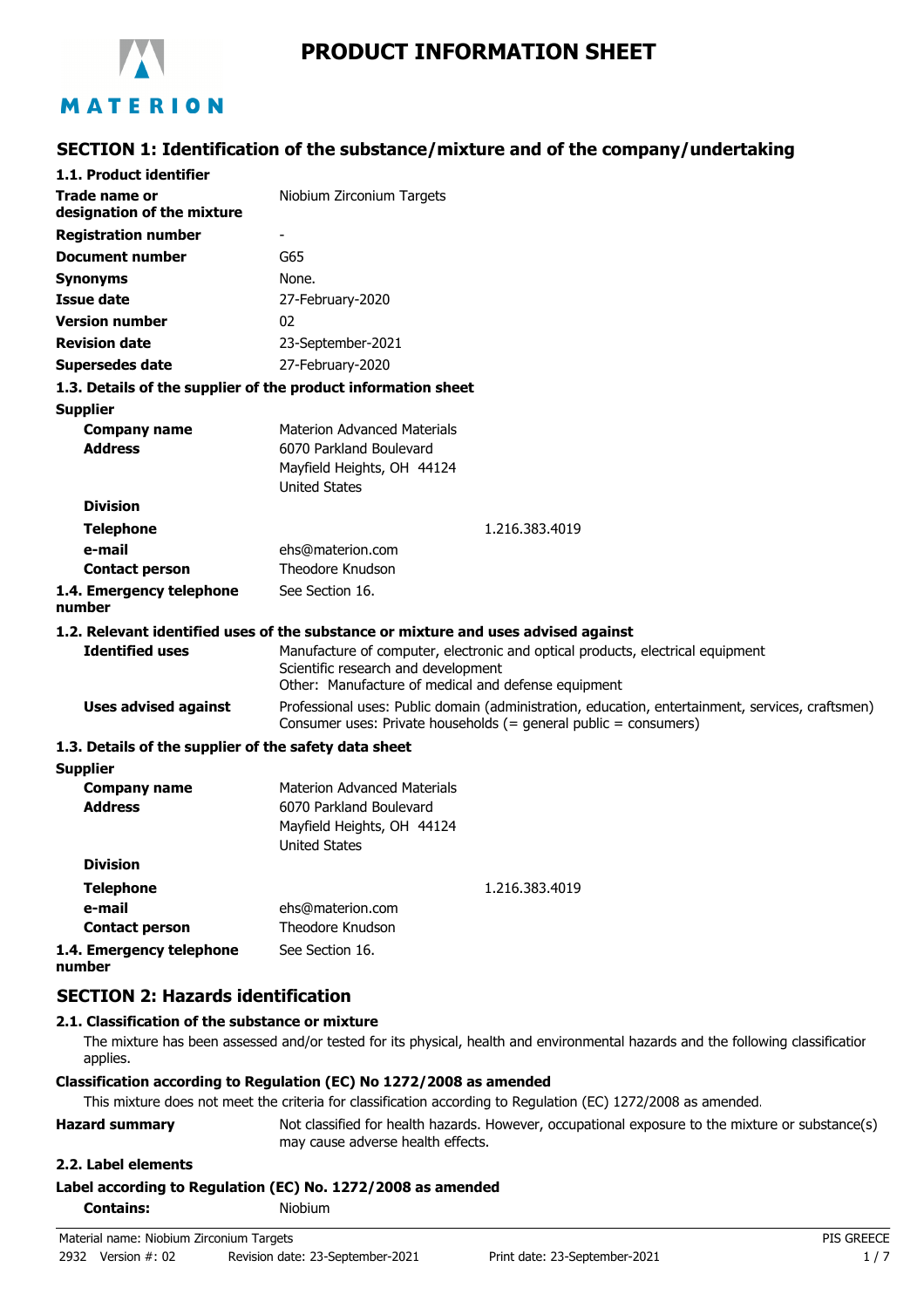

# **PRODUCT INFORMATION SHEET**

# MATERION

## **SECTION 1: Identification of the substance/mixture and of the company/undertaking**

| 1.1. Product identifier                               |                                                                                                                                                                              |  |
|-------------------------------------------------------|------------------------------------------------------------------------------------------------------------------------------------------------------------------------------|--|
| Trade name or<br>designation of the mixture           | Niobium Zirconium Targets                                                                                                                                                    |  |
| <b>Registration number</b>                            |                                                                                                                                                                              |  |
| <b>Document number</b>                                | G65                                                                                                                                                                          |  |
| Synonyms                                              | None.                                                                                                                                                                        |  |
| <b>Issue date</b>                                     | 27-February-2020                                                                                                                                                             |  |
| <b>Version number</b>                                 | 02                                                                                                                                                                           |  |
| <b>Revision date</b>                                  | 23-September-2021                                                                                                                                                            |  |
| Supersedes date                                       | 27-February-2020                                                                                                                                                             |  |
|                                                       | 1.3. Details of the supplier of the product information sheet                                                                                                                |  |
| <b>Supplier</b>                                       |                                                                                                                                                                              |  |
| <b>Company name</b>                                   | <b>Materion Advanced Materials</b>                                                                                                                                           |  |
| <b>Address</b>                                        | 6070 Parkland Boulevard                                                                                                                                                      |  |
|                                                       | Mayfield Heights, OH 44124                                                                                                                                                   |  |
| <b>Division</b>                                       | <b>United States</b>                                                                                                                                                         |  |
|                                                       | 1.216.383.4019                                                                                                                                                               |  |
| <b>Telephone</b><br>e-mail                            | ehs@materion.com                                                                                                                                                             |  |
| <b>Contact person</b>                                 | Theodore Knudson                                                                                                                                                             |  |
| 1.4. Emergency telephone                              | See Section 16.                                                                                                                                                              |  |
| number                                                |                                                                                                                                                                              |  |
|                                                       | 1.2. Relevant identified uses of the substance or mixture and uses advised against                                                                                           |  |
| <b>Identified uses</b>                                | Manufacture of computer, electronic and optical products, electrical equipment<br>Scientific research and development<br>Other: Manufacture of medical and defense equipment |  |
| <b>Uses advised against</b>                           | Professional uses: Public domain (administration, education, entertainment, services, craftsmen)<br>Consumer uses: Private households (= general public = consumers)         |  |
| 1.3. Details of the supplier of the safety data sheet |                                                                                                                                                                              |  |
| <b>Supplier</b>                                       |                                                                                                                                                                              |  |
| <b>Company name</b>                                   | <b>Materion Advanced Materials</b>                                                                                                                                           |  |
| <b>Address</b>                                        | 6070 Parkland Boulevard                                                                                                                                                      |  |
|                                                       | Mayfield Heights, OH 44124<br><b>United States</b>                                                                                                                           |  |
| <b>Division</b>                                       |                                                                                                                                                                              |  |
| Telephone                                             | 1.216.383.4019                                                                                                                                                               |  |
| e-mail                                                | ehs@materion.com                                                                                                                                                             |  |
| <b>Contact person</b>                                 | Theodore Knudson                                                                                                                                                             |  |

**1.4. Emergency telephone number** See Section 16.

## **SECTION 2: Hazards identification**

### **2.1. Classification of the substance or mixture**

The mixture has been assessed and/or tested for its physical, health and environmental hazards and the following classification applies.

#### **Classification according to Regulation (EC) No 1272/2008 as amended**

This mixture does not meet the criteria for classification according to Regulation (EC) 1272/2008 as amended.

**Hazard summary** Not classified for health hazards. However, occupational exposure to the mixture or substance(s) may cause adverse health effects.

### **2.2. Label elements**

### **Label according to Regulation (EC) No. 1272/2008 as amended**

**Contains:** Niobium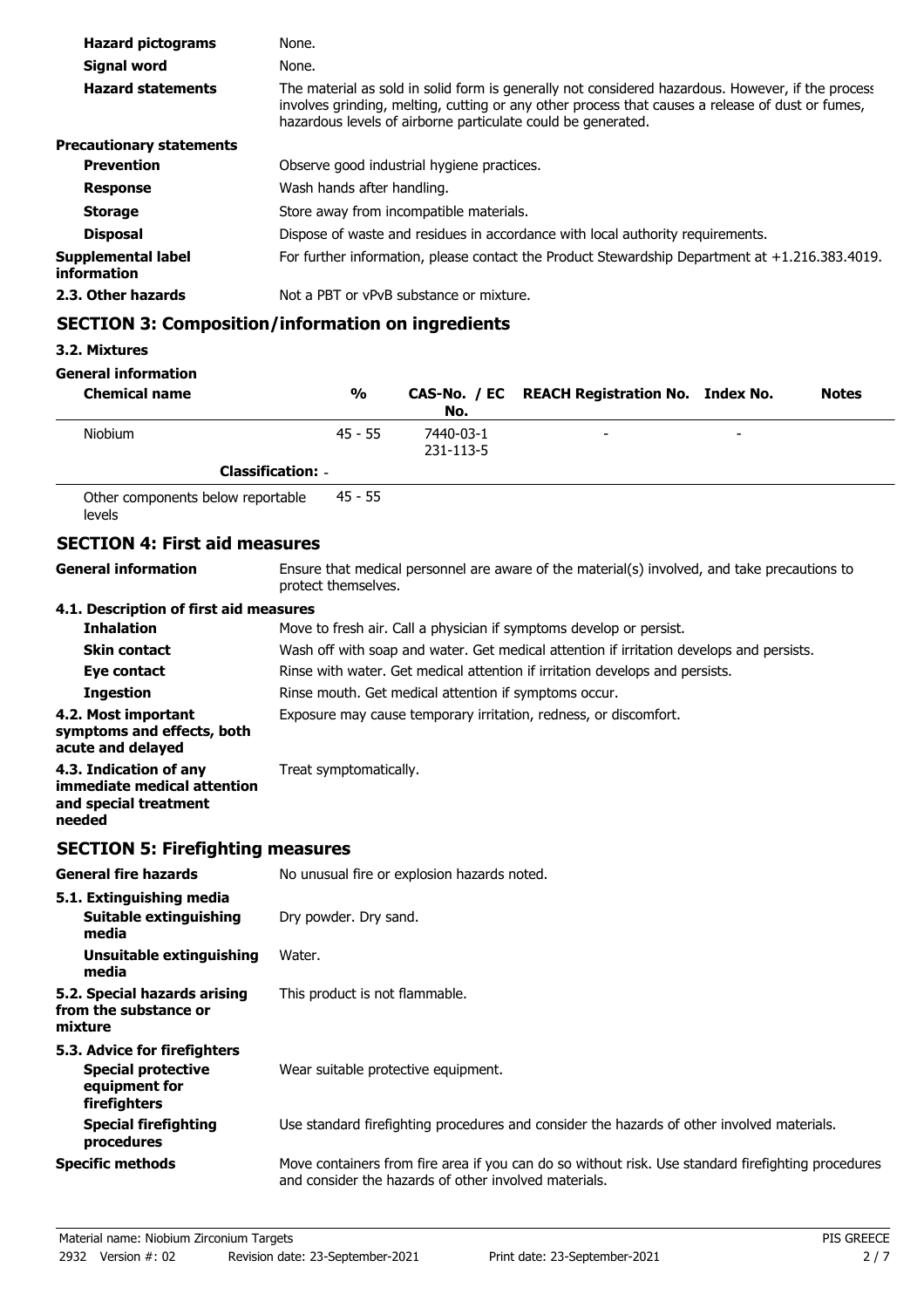| <b>Hazard pictograms</b>          | None.                                                                                                                                                                                                                                                                 |
|-----------------------------------|-----------------------------------------------------------------------------------------------------------------------------------------------------------------------------------------------------------------------------------------------------------------------|
| Signal word                       | None.                                                                                                                                                                                                                                                                 |
| <b>Hazard statements</b>          | The material as sold in solid form is generally not considered hazardous. However, if the process<br>involves grinding, melting, cutting or any other process that causes a release of dust or fumes,<br>hazardous levels of airborne particulate could be generated. |
| <b>Precautionary statements</b>   |                                                                                                                                                                                                                                                                       |
| <b>Prevention</b>                 | Observe good industrial hygiene practices.                                                                                                                                                                                                                            |
| <b>Response</b>                   | Wash hands after handling.                                                                                                                                                                                                                                            |
| <b>Storage</b>                    | Store away from incompatible materials.                                                                                                                                                                                                                               |
| <b>Disposal</b>                   | Dispose of waste and residues in accordance with local authority requirements.                                                                                                                                                                                        |
| Supplemental label<br>information | For further information, please contact the Product Stewardship Department at $+1.216.383.4019$ .                                                                                                                                                                     |
| 2.3. Other hazards                | Not a PBT or vPvB substance or mixture.                                                                                                                                                                                                                               |

# **SECTION 3: Composition/information on ingredients**

## **3.2. Mixtures**

### **General information**

| <b>Chemical name</b>              |                          | %         | No.                    | CAS-No. / EC REACH Registration No. Index No. |                          | <b>Notes</b> |
|-----------------------------------|--------------------------|-----------|------------------------|-----------------------------------------------|--------------------------|--------------|
| <b>Niobium</b>                    |                          | $45 - 55$ | 7440-03-1<br>231-113-5 | -                                             | $\overline{\phantom{a}}$ |              |
|                                   | <b>Classification: -</b> |           |                        |                                               |                          |              |
| Other components below reportable |                          | 45 - 55   |                        |                                               |                          |              |

Other components below reportable levels

## **SECTION 4: First aid measures**

| <b>General information</b>                                                                 | Ensure that medical personnel are aware of the material(s) involved, and take precautions to<br>protect themselves.                                         |  |  |
|--------------------------------------------------------------------------------------------|-------------------------------------------------------------------------------------------------------------------------------------------------------------|--|--|
| 4.1. Description of first aid measures                                                     |                                                                                                                                                             |  |  |
| <b>Inhalation</b>                                                                          | Move to fresh air. Call a physician if symptoms develop or persist.                                                                                         |  |  |
| <b>Skin contact</b>                                                                        | Wash off with soap and water. Get medical attention if irritation develops and persists.                                                                    |  |  |
| Eye contact                                                                                | Rinse with water. Get medical attention if irritation develops and persists.                                                                                |  |  |
| <b>Ingestion</b>                                                                           | Rinse mouth. Get medical attention if symptoms occur.                                                                                                       |  |  |
| 4.2. Most important<br>symptoms and effects, both<br>acute and delayed                     | Exposure may cause temporary irritation, redness, or discomfort.                                                                                            |  |  |
| 4.3. Indication of any<br>immediate medical attention<br>and special treatment<br>needed   | Treat symptomatically.                                                                                                                                      |  |  |
| <b>SECTION 5: Firefighting measures</b>                                                    |                                                                                                                                                             |  |  |
| <b>General fire hazards</b>                                                                | No unusual fire or explosion hazards noted.                                                                                                                 |  |  |
| 5.1. Extinguishing media<br><b>Suitable extinguishing</b><br>media                         | Dry powder. Dry sand.                                                                                                                                       |  |  |
| <b>Unsuitable extinguishing</b><br>media                                                   | Water.                                                                                                                                                      |  |  |
| 5.2. Special hazards arising<br>from the substance or<br>mixture                           | This product is not flammable.                                                                                                                              |  |  |
| 5.3. Advice for firefighters<br><b>Special protective</b><br>equipment for<br>firefighters | Wear suitable protective equipment.                                                                                                                         |  |  |
| <b>Special firefighting</b><br>procedures                                                  | Use standard firefighting procedures and consider the hazards of other involved materials.                                                                  |  |  |
| <b>Specific methods</b>                                                                    | Move containers from fire area if you can do so without risk. Use standard firefighting procedures<br>and consider the hazards of other involved materials. |  |  |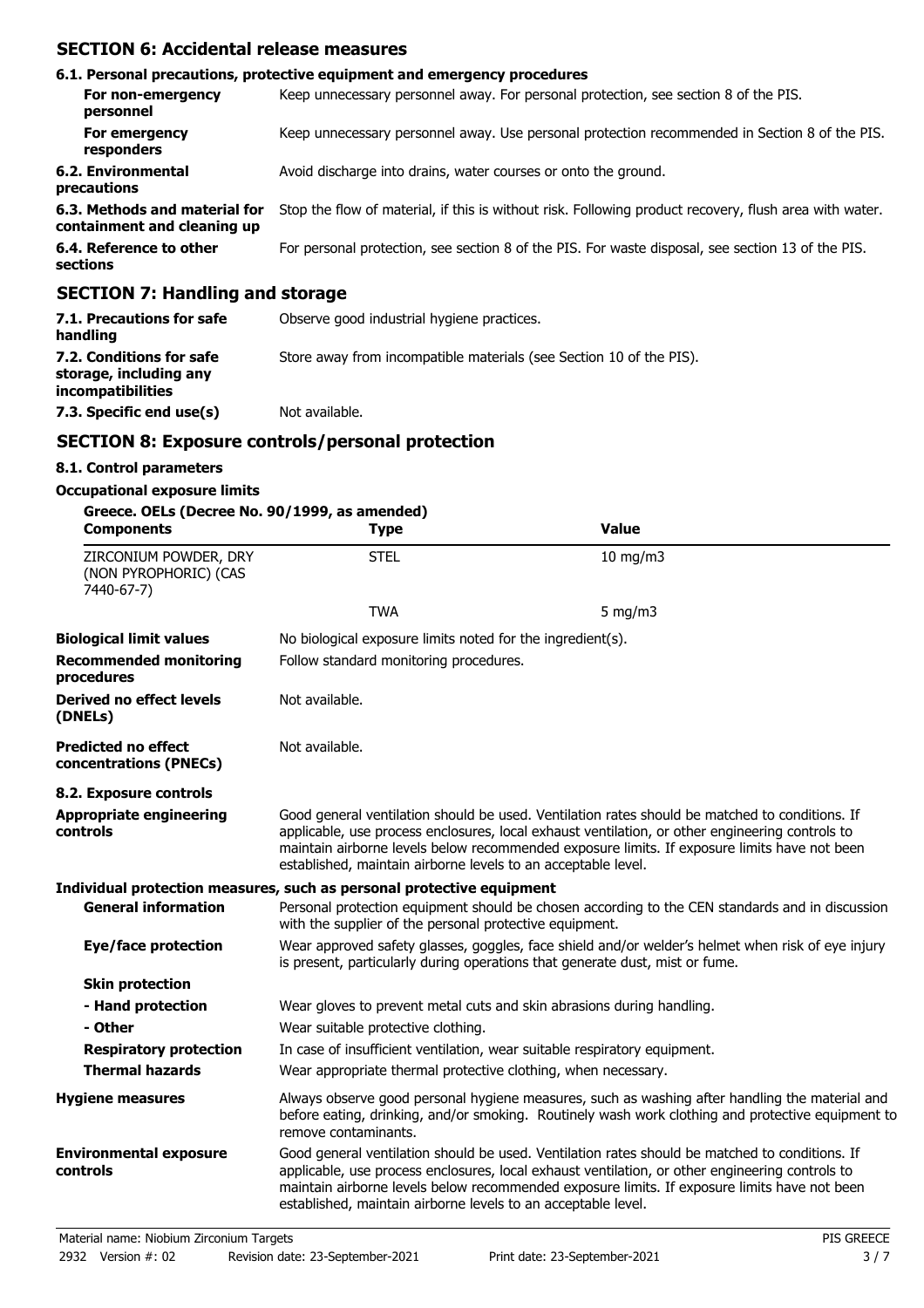# **SECTION 6: Accidental release measures**

|                                                              | 6.1. Personal precautions, protective equipment and emergency procedures                               |
|--------------------------------------------------------------|--------------------------------------------------------------------------------------------------------|
| For non-emergency<br>personnel                               | Keep unnecessary personnel away. For personal protection, see section 8 of the PIS.                    |
| For emergency<br>responders                                  | Keep unnecessary personnel away. Use personal protection recommended in Section 8 of the PIS.          |
| 6.2. Environmental<br>precautions                            | Avoid discharge into drains, water courses or onto the ground.                                         |
| 6.3. Methods and material for<br>containment and cleaning up | Stop the flow of material, if this is without risk. Following product recovery, flush area with water. |
| 6.4. Reference to other<br>sections                          | For personal protection, see section 8 of the PIS. For waste disposal, see section 13 of the PIS.      |
| CCCTION 7. Handling and stavega                              |                                                                                                        |

## **SECTION 7: Handling and storage**

| 7.1. Precautions for safe<br>handling                                          | Observe good industrial hygiene practices.                          |
|--------------------------------------------------------------------------------|---------------------------------------------------------------------|
| 7.2. Conditions for safe<br>storage, including any<br><i>incompatibilities</i> | Store away from incompatible materials (see Section 10 of the PIS). |
| 7.3. Specific end use(s)                                                       | Not available.                                                      |

# **SECTION 8: Exposure controls/personal protection**

## **8.1. Control parameters**

### **Occupational exposure limits**

| Greece. OELs (Decree No. 90/1999, as amended)<br><b>Components</b> | <b>Type</b>                                                                                                                                                                       | <b>Value</b>                                                                                                                                                                                                                                                                                      |
|--------------------------------------------------------------------|-----------------------------------------------------------------------------------------------------------------------------------------------------------------------------------|---------------------------------------------------------------------------------------------------------------------------------------------------------------------------------------------------------------------------------------------------------------------------------------------------|
| ZIRCONIUM POWDER, DRY<br>(NON PYROPHORIC) (CAS<br>7440-67-7)       | <b>STEL</b>                                                                                                                                                                       | $10$ mg/m $3$                                                                                                                                                                                                                                                                                     |
|                                                                    | <b>TWA</b>                                                                                                                                                                        | 5 mg/m $3$                                                                                                                                                                                                                                                                                        |
| <b>Biological limit values</b>                                     | No biological exposure limits noted for the ingredient(s).                                                                                                                        |                                                                                                                                                                                                                                                                                                   |
| <b>Recommended monitoring</b><br>procedures                        | Follow standard monitoring procedures.                                                                                                                                            |                                                                                                                                                                                                                                                                                                   |
| <b>Derived no effect levels</b><br>(DNELs)                         | Not available.                                                                                                                                                                    |                                                                                                                                                                                                                                                                                                   |
| <b>Predicted no effect</b><br>concentrations (PNECs)               | Not available.                                                                                                                                                                    |                                                                                                                                                                                                                                                                                                   |
| 8.2. Exposure controls                                             |                                                                                                                                                                                   |                                                                                                                                                                                                                                                                                                   |
| <b>Appropriate engineering</b><br>controls                         | established, maintain airborne levels to an acceptable level.                                                                                                                     | Good general ventilation should be used. Ventilation rates should be matched to conditions. If<br>applicable, use process enclosures, local exhaust ventilation, or other engineering controls to<br>maintain airborne levels below recommended exposure limits. If exposure limits have not been |
|                                                                    | Individual protection measures, such as personal protective equipment                                                                                                             |                                                                                                                                                                                                                                                                                                   |
| <b>General information</b>                                         | with the supplier of the personal protective equipment.                                                                                                                           | Personal protection equipment should be chosen according to the CEN standards and in discussion                                                                                                                                                                                                   |
| Eye/face protection                                                | Wear approved safety glasses, goggles, face shield and/or welder's helmet when risk of eye injury<br>is present, particularly during operations that generate dust, mist or fume. |                                                                                                                                                                                                                                                                                                   |
| <b>Skin protection</b>                                             |                                                                                                                                                                                   |                                                                                                                                                                                                                                                                                                   |
| - Hand protection                                                  | Wear gloves to prevent metal cuts and skin abrasions during handling.                                                                                                             |                                                                                                                                                                                                                                                                                                   |
| - Other                                                            | Wear suitable protective clothing.                                                                                                                                                |                                                                                                                                                                                                                                                                                                   |
| <b>Respiratory protection</b>                                      | In case of insufficient ventilation, wear suitable respiratory equipment.                                                                                                         |                                                                                                                                                                                                                                                                                                   |
| <b>Thermal hazards</b>                                             | Wear appropriate thermal protective clothing, when necessary.                                                                                                                     |                                                                                                                                                                                                                                                                                                   |
| <b>Hygiene measures</b>                                            | remove contaminants.                                                                                                                                                              | Always observe good personal hygiene measures, such as washing after handling the material and<br>before eating, drinking, and/or smoking. Routinely wash work clothing and protective equipment to                                                                                               |
| <b>Environmental exposure</b><br>controls                          | established, maintain airborne levels to an acceptable level.                                                                                                                     | Good general ventilation should be used. Ventilation rates should be matched to conditions. If<br>applicable, use process enclosures, local exhaust ventilation, or other engineering controls to<br>maintain airborne levels below recommended exposure limits. If exposure limits have not been |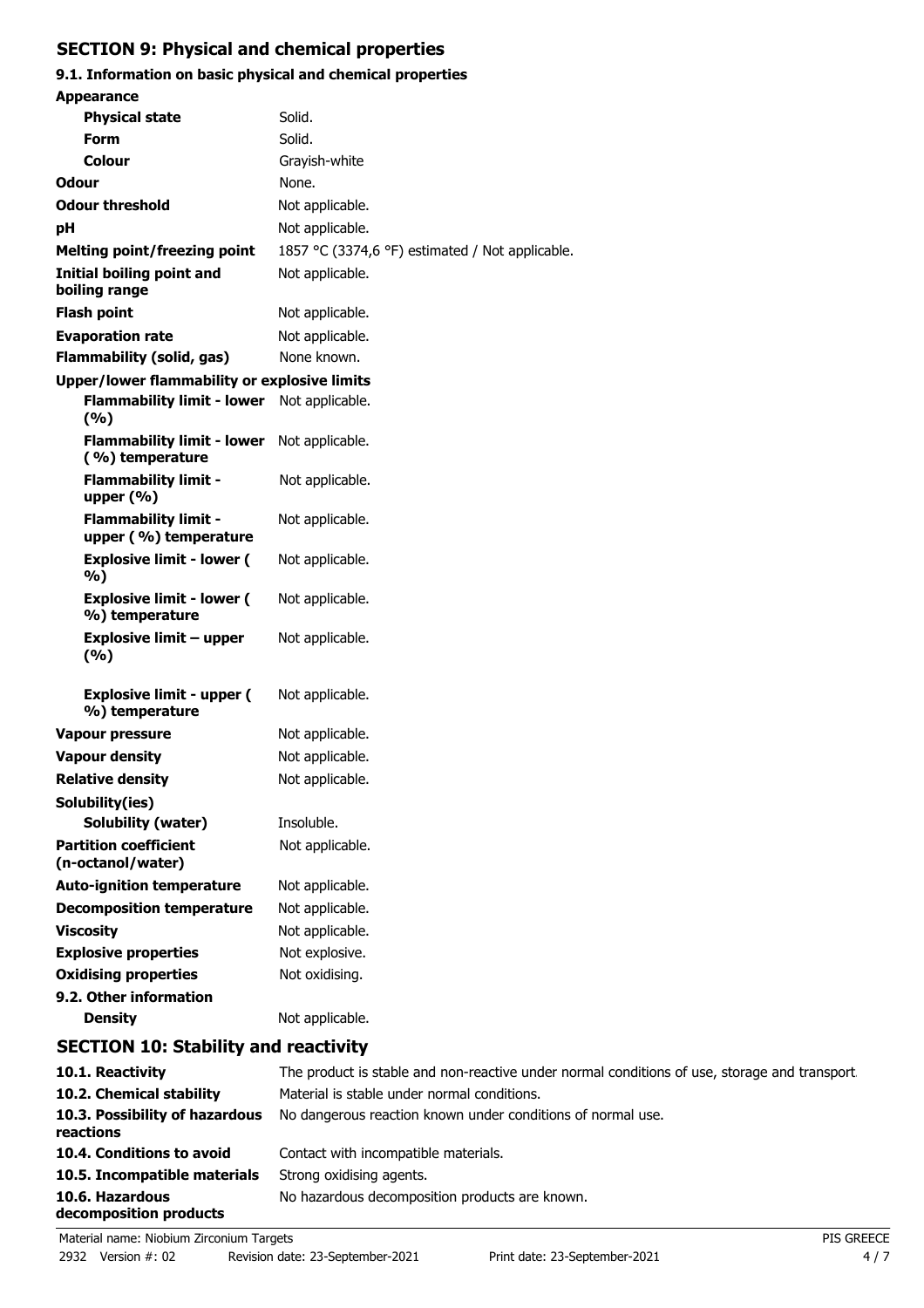# **SECTION 9: Physical and chemical properties**

# **9.1. Information on basic physical and chemical properties**

| <b>Appearance</b>                                    |                                                               |
|------------------------------------------------------|---------------------------------------------------------------|
| <b>Physical state</b>                                | Solid.                                                        |
| <b>Form</b>                                          | Solid.                                                        |
| <b>Colour</b>                                        | Grayish-white                                                 |
| Odour                                                | None.                                                         |
| <b>Odour threshold</b>                               | Not applicable.                                               |
| рH                                                   | Not applicable.                                               |
| <b>Melting point/freezing point</b>                  | 1857 °C (3374,6 °F) estimated / Not applicable.               |
| Initial boiling point and<br>boiling range           | Not applicable.                                               |
| <b>Flash point</b>                                   | Not applicable.                                               |
| <b>Evaporation rate</b>                              | Not applicable.                                               |
| <b>Flammability (solid, gas)</b>                     | None known.                                                   |
| <b>Upper/lower flammability or explosive limits</b>  |                                                               |
| <b>Flammability limit - lower</b><br>(%)             | Not applicable.                                               |
| <b>Flammability limit - lower</b><br>(%) temperature | Not applicable.                                               |
| <b>Flammability limit -</b><br>upper $(%)$           | Not applicable.                                               |
| <b>Flammability limit -</b><br>upper (%) temperature | Not applicable.                                               |
| <b>Explosive limit - lower (</b><br>%)               | Not applicable.                                               |
| <b>Explosive limit - lower (</b><br>%) temperature   | Not applicable.                                               |
| <b>Explosive limit - upper</b><br>(%)                | Not applicable.                                               |
| <b>Explosive limit - upper (</b><br>%) temperature   | Not applicable.                                               |
| Vapour pressure                                      | Not applicable.                                               |
| <b>Vapour density</b>                                | Not applicable.                                               |
| <b>Relative density</b>                              | Not applicable.                                               |
| Solubility(ies)                                      |                                                               |
| Solubility (water)                                   | Insoluble.                                                    |
| <b>Partition coefficient</b><br>(n-octanol/water)    | Not applicable.                                               |
| <b>Auto-ignition temperature</b>                     | Not applicable.                                               |
| <b>Decomposition temperature</b>                     | Not applicable.                                               |
| <b>Viscosity</b>                                     | Not applicable.                                               |
| <b>Explosive properties</b>                          | Not explosive.                                                |
| <b>Oxidising properties</b>                          | Not oxidising.                                                |
| 9.2. Other information<br><b>Density</b>             | Not applicable.                                               |
| <b>SECTION 10: Stability and reactivity</b>          |                                                               |
| 10.1 Reactivity                                      | The product is stable and non-reactive under normal condition |

| 10.1. Reactivity                            | The product is stable and non-reactive under normal conditions of use, storage and transport. |
|---------------------------------------------|-----------------------------------------------------------------------------------------------|
| 10.2. Chemical stability                    | Material is stable under normal conditions.                                                   |
| 10.3. Possibility of hazardous<br>reactions | No dangerous reaction known under conditions of normal use.                                   |
| 10.4. Conditions to avoid                   | Contact with incompatible materials.                                                          |
| 10.5. Incompatible materials                | Strong oxidising agents.                                                                      |
| 10.6. Hazardous<br>decomposition products   | No hazardous decomposition products are known.                                                |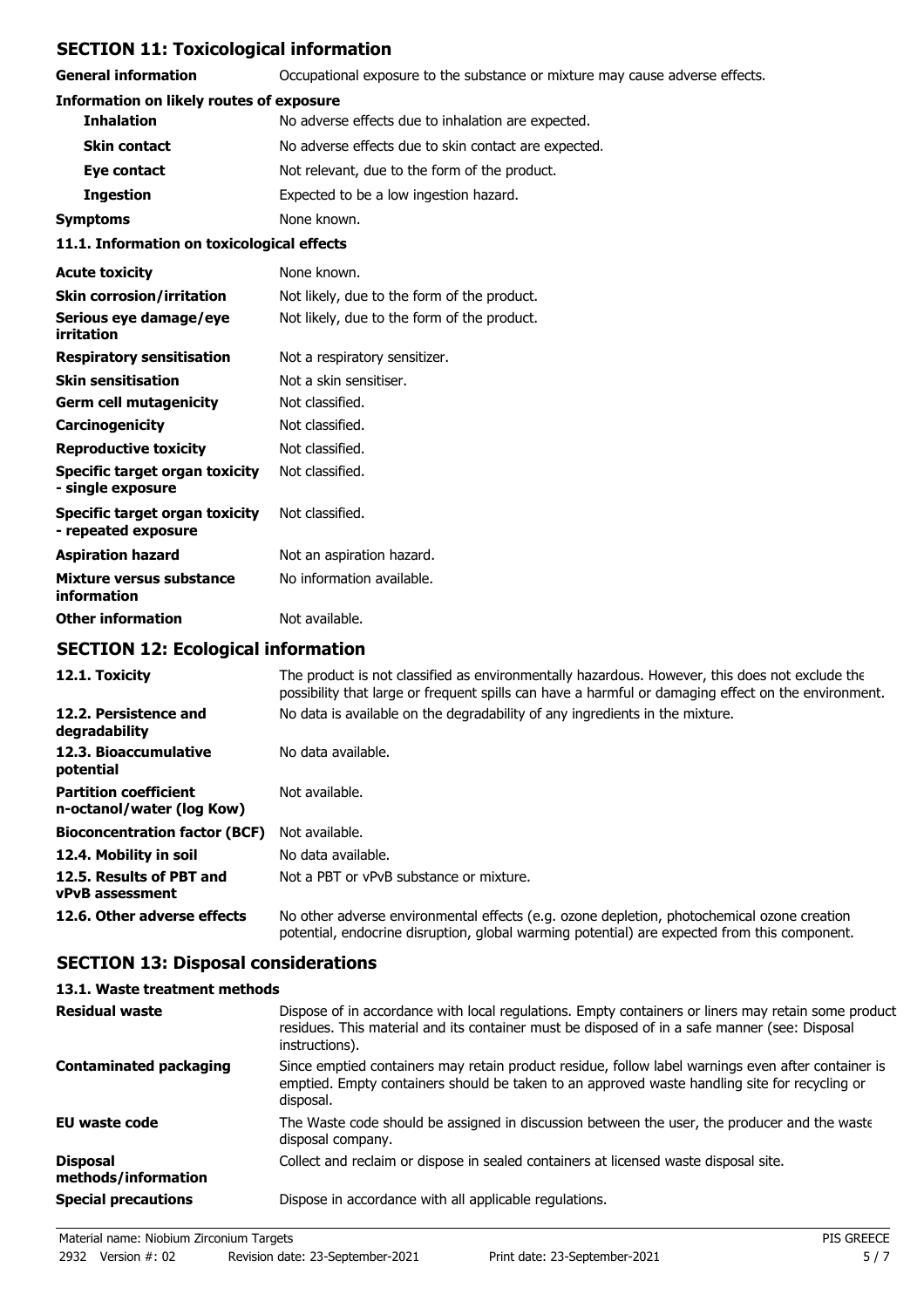# **SECTION 11: Toxicological information**

**General information CCCUPATION** Occupational exposure to the substance or mixture may cause adverse effects.

## **Information on likely routes of exposure**

| 11 1 Tefermetian an terisalasiaal affasta |                                                      |  |
|-------------------------------------------|------------------------------------------------------|--|
| Symptoms                                  | None known.                                          |  |
| <b>Ingestion</b>                          | Expected to be a low ingestion hazard.               |  |
| Eye contact                               | Not relevant, due to the form of the product.        |  |
| <b>Skin contact</b>                       | No adverse effects due to skin contact are expected. |  |
| <b>Inhalation</b>                         | No adverse effects due to inhalation are expected.   |  |

#### **11.1. Information on toxicological effects**

| <b>Acute toxicity</b>                                 | None known.                                 |
|-------------------------------------------------------|---------------------------------------------|
| <b>Skin corrosion/irritation</b>                      | Not likely, due to the form of the product. |
| Serious eye damage/eye<br>irritation                  | Not likely, due to the form of the product. |
| <b>Respiratory sensitisation</b>                      | Not a respiratory sensitizer.               |
| <b>Skin sensitisation</b>                             | Not a skin sensitiser.                      |
| Germ cell mutagenicity                                | Not classified.                             |
| Carcinogenicity                                       | Not classified.                             |
| <b>Reproductive toxicity</b>                          | Not classified.                             |
| Specific target organ toxicity<br>- single exposure   | Not classified.                             |
| Specific target organ toxicity<br>- repeated exposure | Not classified.                             |
| <b>Aspiration hazard</b>                              | Not an aspiration hazard.                   |
| Mixture versus substance<br>information               | No information available.                   |
| <b>Other information</b>                              | Not available.                              |

# **SECTION 12: Ecological information**

| 12.1. Toxicity                                            | The product is not classified as environmentally hazardous. However, this does not exclude the<br>possibility that large or frequent spills can have a harmful or damaging effect on the environment. |
|-----------------------------------------------------------|-------------------------------------------------------------------------------------------------------------------------------------------------------------------------------------------------------|
| 12.2. Persistence and<br>degradability                    | No data is available on the degradability of any ingredients in the mixture.                                                                                                                          |
| 12.3. Bioaccumulative<br>potential                        | No data available.                                                                                                                                                                                    |
| <b>Partition coefficient</b><br>n-octanol/water (log Kow) | Not available.                                                                                                                                                                                        |
| <b>Bioconcentration factor (BCF)</b>                      | Not available.                                                                                                                                                                                        |
| 12.4. Mobility in soil                                    | No data available.                                                                                                                                                                                    |
| 12.5. Results of PBT and<br><b>vPvB</b> assessment        | Not a PBT or vPvB substance or mixture.                                                                                                                                                               |
| 12.6. Other adverse effects                               | No other adverse environmental effects (e.g. ozone depletion, photochemical ozone creation<br>potential, endocrine disruption, global warming potential) are expected from this component.            |

# **SECTION 13: Disposal considerations**

## **13.1. Waste treatment methods**

| <b>Residual waste</b>                  | Dispose of in accordance with local regulations. Empty containers or liners may retain some product<br>residues. This material and its container must be disposed of in a safe manner (see: Disposal<br>instructions). |
|----------------------------------------|------------------------------------------------------------------------------------------------------------------------------------------------------------------------------------------------------------------------|
| <b>Contaminated packaging</b>          | Since emptied containers may retain product residue, follow label warnings even after container is<br>emptied. Empty containers should be taken to an approved waste handling site for recycling or<br>disposal.       |
| EU waste code                          | The Waste code should be assigned in discussion between the user, the producer and the waste<br>disposal company.                                                                                                      |
| <b>Disposal</b><br>methods/information | Collect and reclaim or dispose in sealed containers at licensed waste disposal site.                                                                                                                                   |
| <b>Special precautions</b>             | Dispose in accordance with all applicable regulations.                                                                                                                                                                 |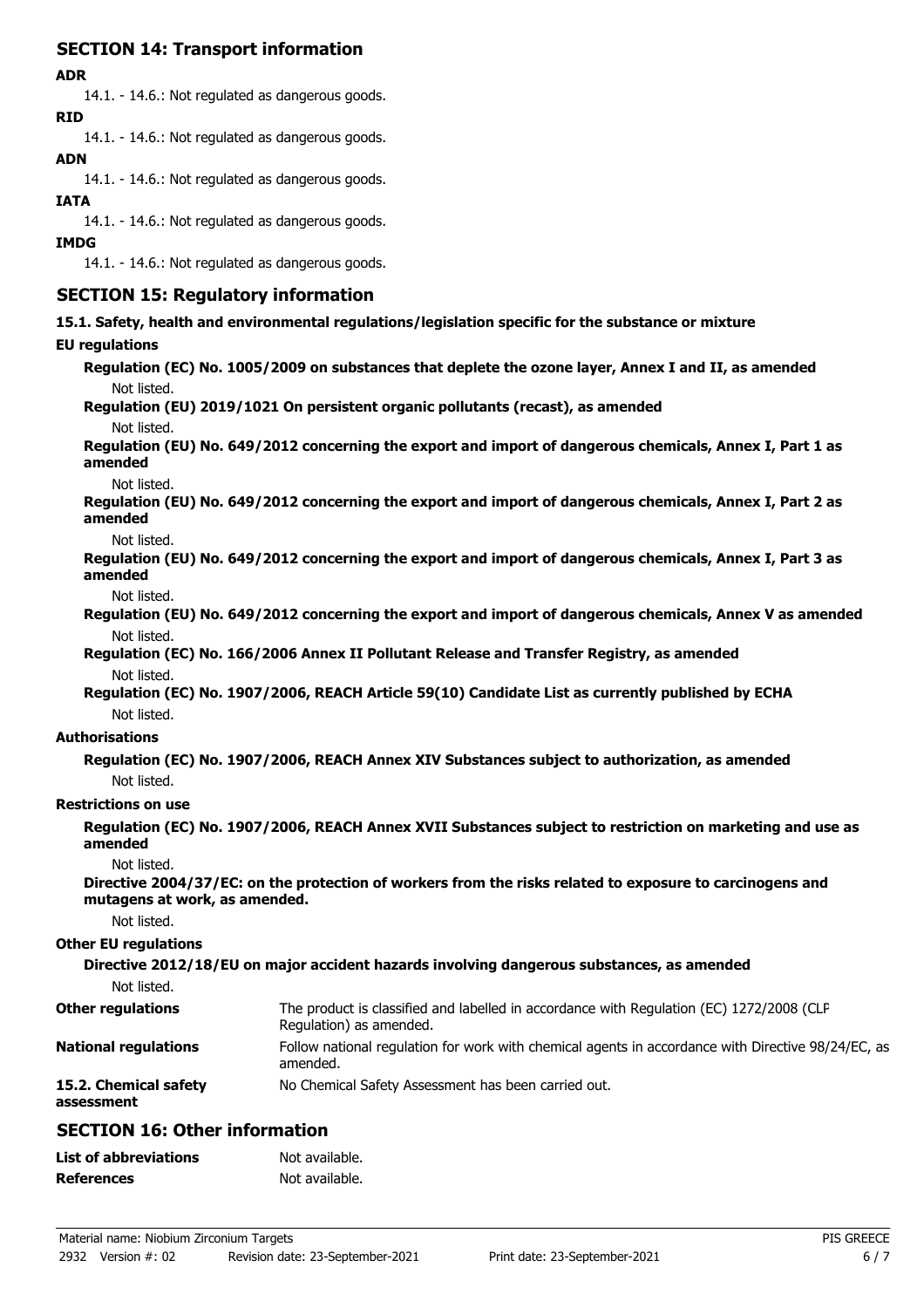# **SECTION 14: Transport information**

#### **ADR**

14.1. - 14.6.: Not regulated as dangerous goods. **RID**

14.1. - 14.6.: Not regulated as dangerous goods.

## **ADN**

14.1. - 14.6.: Not regulated as dangerous goods.

### **IATA**

14.1. - 14.6.: Not regulated as dangerous goods.

#### **IMDG**

14.1. - 14.6.: Not regulated as dangerous goods.

## **SECTION 15: Regulatory information**

**15.1. Safety, health and environmental regulations/legislation specific for the substance or mixture**

### **EU regulations**

**Regulation (EC) No. 1005/2009 on substances that deplete the ozone layer, Annex I and II, as amended** Not listed.

## **Regulation (EU) 2019/1021 On persistent organic pollutants (recast), as amended**

Not listed.

**Regulation (EU) No. 649/2012 concerning the export and import of dangerous chemicals, Annex I, Part 1 as amended**

Not listed.

**Regulation (EU) No. 649/2012 concerning the export and import of dangerous chemicals, Annex I, Part 2 as amended**

Not listed.

**Regulation (EU) No. 649/2012 concerning the export and import of dangerous chemicals, Annex I, Part 3 as amended**

Not listed.

**Regulation (EU) No. 649/2012 concerning the export and import of dangerous chemicals, Annex V as amended** Not listed.

**Regulation (EC) No. 166/2006 Annex II Pollutant Release and Transfer Registry, as amended** Not listed.

**Regulation (EC) No. 1907/2006, REACH Article 59(10) Candidate List as currently published by ECHA** Not listed.

### **Authorisations**

**Regulation (EC) No. 1907/2006, REACH Annex XIV Substances subject to authorization, as amended** Not listed.

### **Restrictions on use**

**Regulation (EC) No. 1907/2006, REACH Annex XVII Substances subject to restriction on marketing and use as amended**

Not listed.

**Directive 2004/37/EC: on the protection of workers from the risks related to exposure to carcinogens and mutagens at work, as amended.**

Not listed.

### **Other EU regulations**

**Directive 2012/18/EU on major accident hazards involving dangerous substances, as amended**

Not listed.

| <b>Other regulations</b>            | The product is classified and labelled in accordance with Regulation (EC) 1272/2008 (CLP<br>Regulation) as amended. |
|-------------------------------------|---------------------------------------------------------------------------------------------------------------------|
| <b>National regulations</b>         | Follow national regulation for work with chemical agents in accordance with Directive 98/24/EC, as<br>amended.      |
| 15.2. Chemical safety<br>assessment | No Chemical Safety Assessment has been carried out.                                                                 |

## **SECTION 16: Other information**

| <b>List of abbreviations</b> | Not available. |
|------------------------------|----------------|
| <b>References</b>            | Not available. |